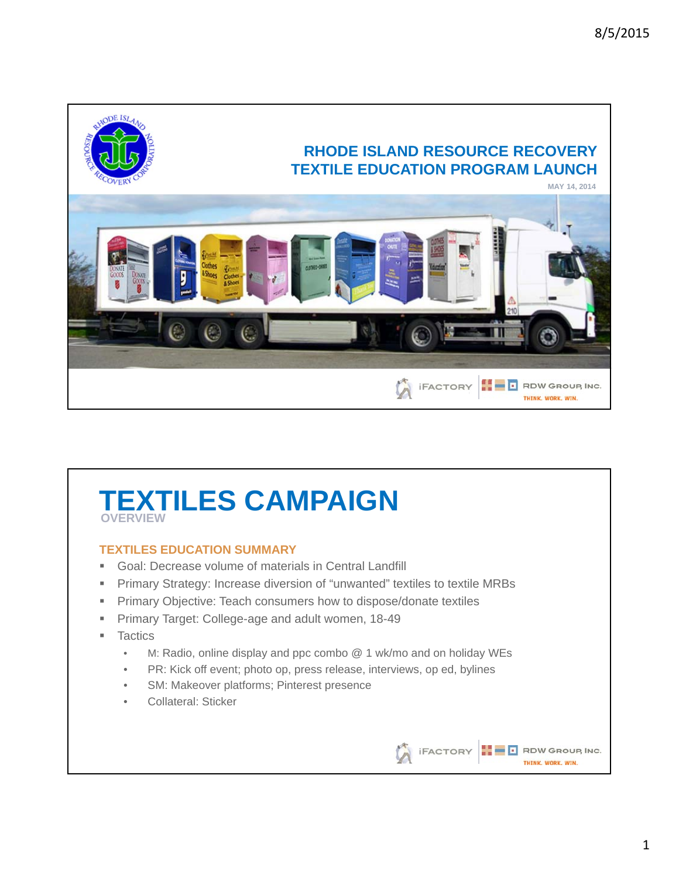

## **TEXTILES CAMPAIGN OVERVIEW**

## **TEXTILES EDUCATION SUMMARY**

- Goal: Decrease volume of materials in Central Landfill
- **Primary Strategy: Increase diversion of "unwanted" textiles to textile MRBs**
- **Primary Objective: Teach consumers how to dispose/donate textiles**
- **Primary Target: College-age and adult women, 18-49**
- **Tactics** 
	- M: Radio, online display and ppc combo @ 1 wk/mo and on holiday WEs
	- PR: Kick off event; photo op, press release, interviews, op ed, bylines
	- SM: Makeover platforms; Pinterest presence
	- Collateral: Sticker

This image cannot currently be displayed.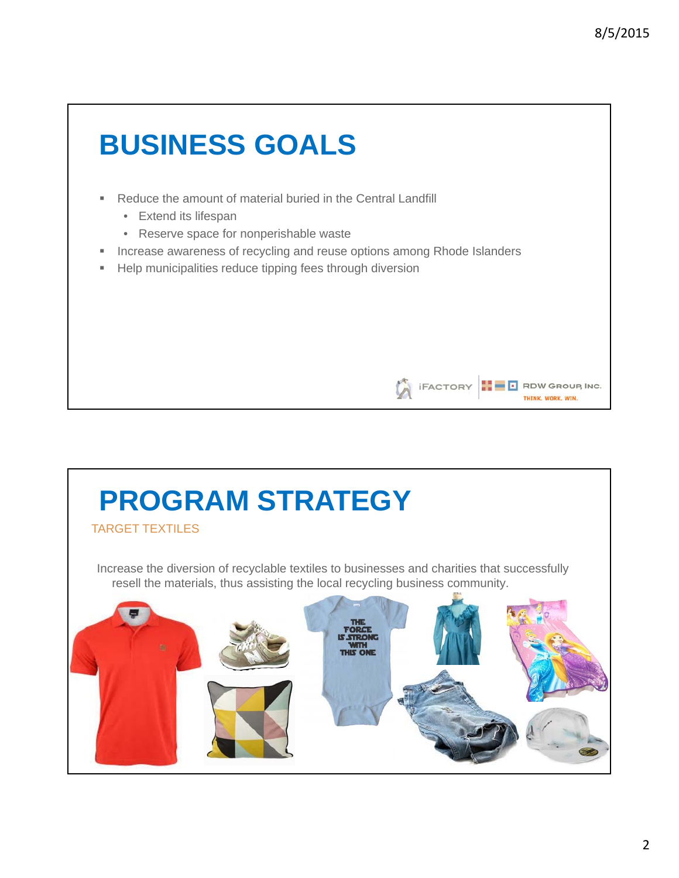This image cannot currently be displayed.

THINK, WORK, WIN.

# **BUSINESS GOALS**

- Reduce the amount of material buried in the Central Landfill
	- Extend its lifespan
	- Reserve space for nonperishable waste
- **Increase awareness of recycling and reuse options among Rhode Islanders**
- **Help municipalities reduce tipping fees through diversion**

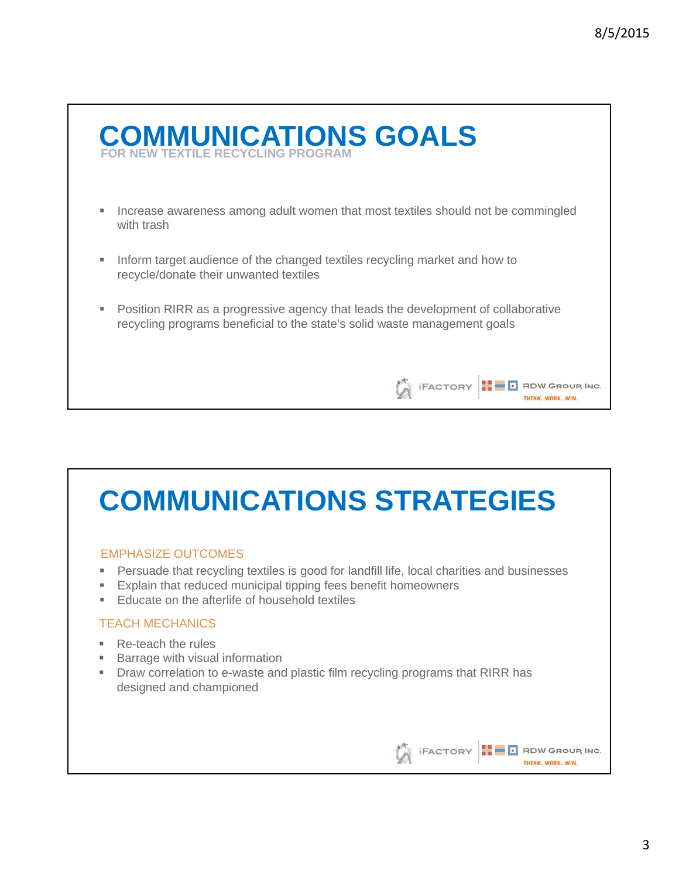

# **COMMUNICATIONS STRATEGIES**

## EMPHASIZE OUTCOMES

- **Persuade that recycling textiles is good for landfill life, local charities and businesses**
- **Explain that reduced municipal tipping fees benefit homeowners**
- **Educate on the afterlife of household textiles**

## TEACH MECHANICS

- Re-teach the rules
- **Barrage with visual information**
- Draw correlation to e-waste and plastic film recycling programs that RIRR has designed and championed

This image cannot currently be displayed.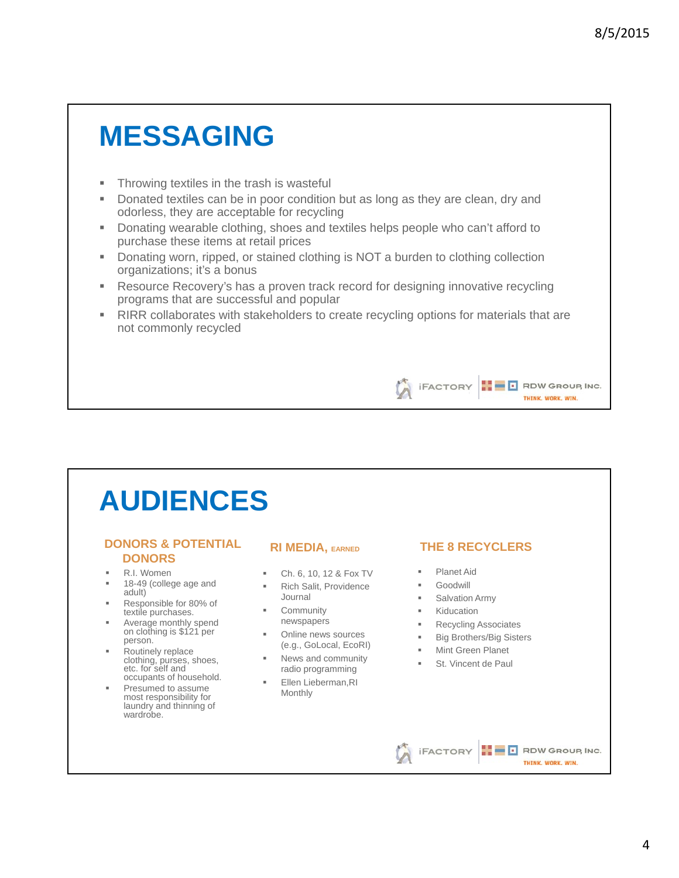# **MESSAGING**

- **Throwing textiles in the trash is wasteful**
- Donated textiles can be in poor condition but as long as they are clean, dry and odorless, they are acceptable for recycling
- Donating wearable clothing, shoes and textiles helps people who can't afford to purchase these items at retail prices
- Donating worn, ripped, or stained clothing is NOT a burden to clothing collection organizations; it's a bonus
- Resource Recovery's has a proven track record for designing innovative recycling programs that are successful and popular
- **RIRR collaborates with stakeholders to create recycling options for materials that are** not commonly recycled

# **AUDIENCES**

#### **DONORS & POTENTIAL DONORS**

- R.I. Women
- 18-49 (college age and adult)
- Responsible for 80% of textile purchases.
- **Average monthly spend** on clothing is \$121 per person.
- Routinely replace clothing, purses, shoes, etc. for self and occupants of household.
- Presumed to assume most responsibility for laundry and thinning of wardrobe.

#### **RI MEDIA, EARNED**

- Ch. 6, 10, 12 & Fox TV
- Rich Salit, Providence Journal
- **Community** newspapers
- **•** Online news sources (e.g., GoLocal, EcoRI)
- News and community radio programming
- **Ellen Lieberman, RI** Monthly

### **THE 8 RECYCLERS**

This image cannot currently be displayed.

THINK, WORK, WIN.

- Planet Aid
- Goodwill
- Salvation Army
- **Kiducation**
- **Recycling Associates**
- **Big Brothers/Big Sisters**

This image cannot currently be displayed.

- **Mint Green Planet**
- **St. Vincent de Paul**

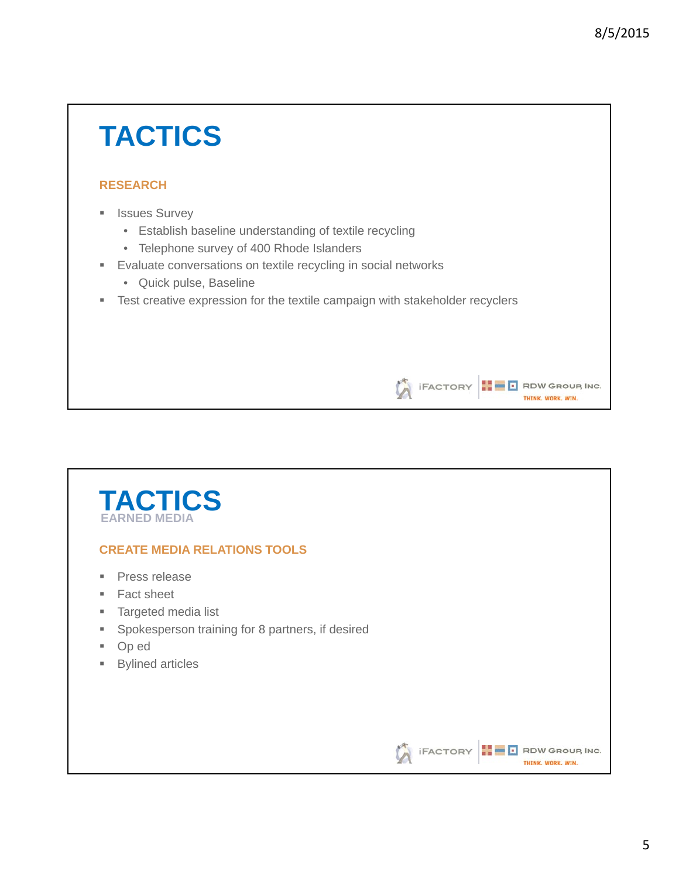This image cannot currently be displayed.

**THINK, WORK, WIN.** 

THINK, WORK, WIN.

# **TACTICS**

## **RESEARCH**

- **B** Issues Survey
	- Establish baseline understanding of textile recycling
	- Telephone survey of 400 Rhode Islanders
- **Evaluate conversations on textile recycling in social networks** 
	- Quick pulse, Baseline
- **Test creative expression for the textile campaign with stakeholder recyclers**

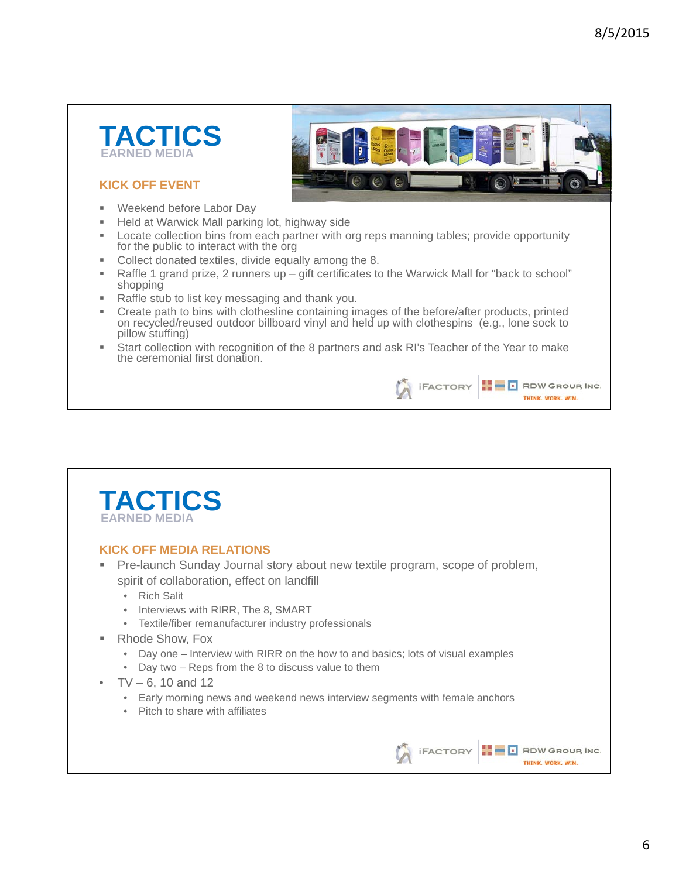



## **KICK OFF EVENT**

- **Weekend before Labor Day**
- Held at Warwick Mall parking lot, highway side
- **Locate collection bins from each partner with org reps manning tables; provide opportunity** for the public to interact with the org
- **Collect donated textiles, divide equally among the 8.**
- Raffle 1 grand prize, 2 runners up gift certificates to the Warwick Mall for "back to school" shopping
- Raffle stub to list key messaging and thank you.
- Create path to bins with clothesline containing images of the before/after products, printed on recycled/reused outdoor billboard vinyl and held up with clothespins (e.g., lone sock to pillow stuffing)
- Start collection with recognition of the 8 partners and ask RI's Teacher of the Year to make the ceremonial first donation.



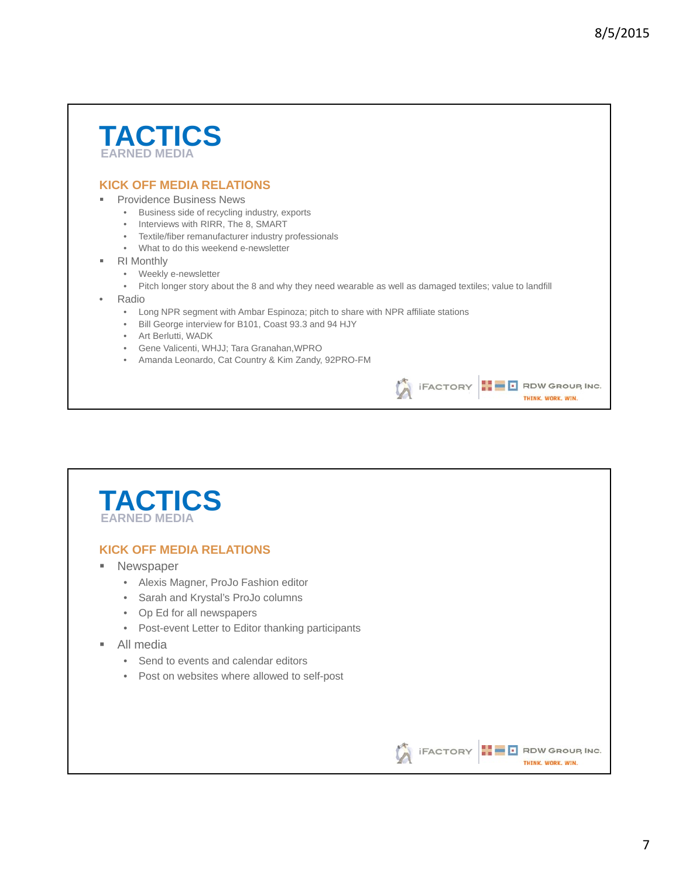## **TACTICS EARNED MEDIA**

### **KICK OFF MEDIA RELATIONS**

#### Providence Business News

- Business side of recycling industry, exports
- Interviews with RIRR, The 8, SMART
- Textile/fiber remanufacturer industry professionals
- What to do this weekend e-newsletter
- RI Monthly
	- Weekly e-newsletter
	- Pitch longer story about the 8 and why they need wearable as well as damaged textiles; value to landfill
- Radio
	- Long NPR segment with Ambar Espinoza; pitch to share with NPR affiliate stations
	- Bill George interview for B101, Coast 93.3 and 94 HJY
	- Art Berlutti, WADK
	- Gene Valicenti, WHJJ; Tara Granahan,WPRO
	- Amanda Leonardo, Cat Country & Kim Zandy, 92PRO-FM

## **TACTICS EARNED MEDIA**

#### **KICK OFF MEDIA RELATIONS**

- **Newspaper** 
	- Alexis Magner, ProJo Fashion editor
	- Sarah and Krystal's ProJo columns
	- Op Ed for all newspapers
	- Post-event Letter to Editor thanking participants
- All media
	- Send to events and calendar editors
	- Post on websites where allowed to self-post

This image cannot currently be displayed.

THINK, WORK, WIN.

This image cannot currently be displayed.

**THINK, WORK, WIN.**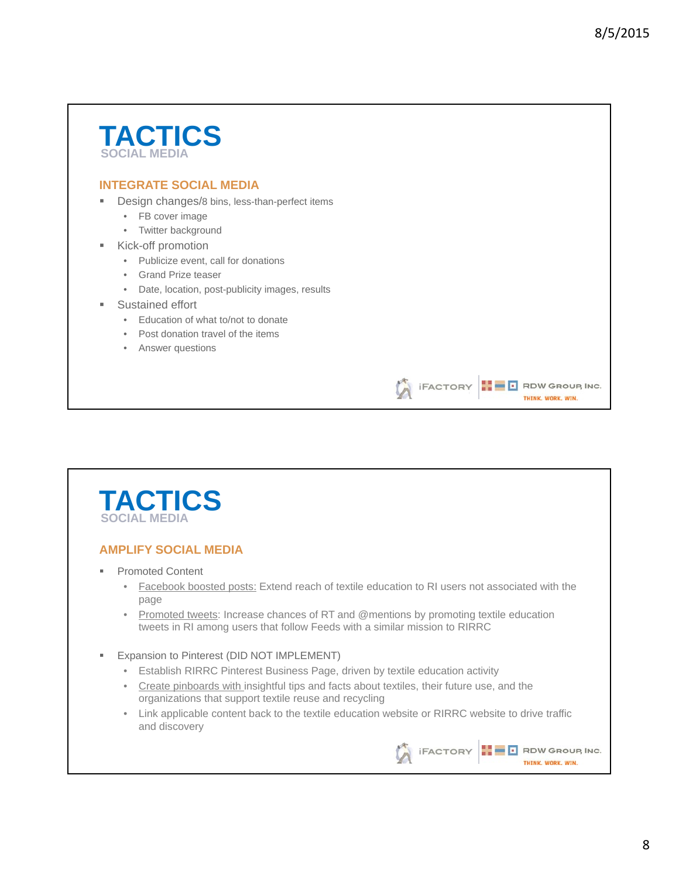## **TACTICS SOCIAL MEDIA**

## **INTEGRATE SOCIAL MEDIA**

- **Design changes/8 bins, less-than-perfect items** 
	- FB cover image
	- Twitter background
	- Kick-off promotion
		- Publicize event, call for donations
		- Grand Prize teaser
		- Date, location, post-publicity images, results
- Sustained effort
	- Education of what to/not to donate
	- Post donation travel of the items
	- Answer questions



### **AMPLIFY SOCIAL MEDIA**

- Promoted Content
	- Facebook boosted posts: Extend reach of textile education to RI users not associated with the page
	- Promoted tweets: Increase chances of RT and @mentions by promoting textile education tweets in RI among users that follow Feeds with a similar mission to RIRRC
- **Expansion to Pinterest (DID NOT IMPLEMENT)** 
	- Establish RIRRC Pinterest Business Page, driven by textile education activity
	- Create pinboards with insightful tips and facts about textiles, their future use, and the organizations that support textile reuse and recycling
	- Link applicable content back to the textile education website or RIRRC website to drive traffic and discovery



This image cannot currently be displayed.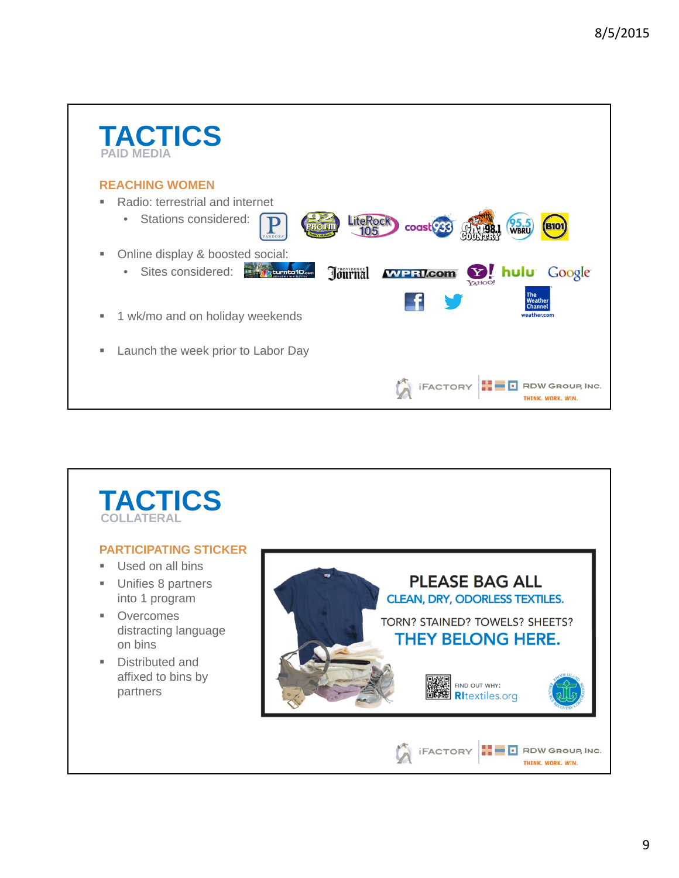

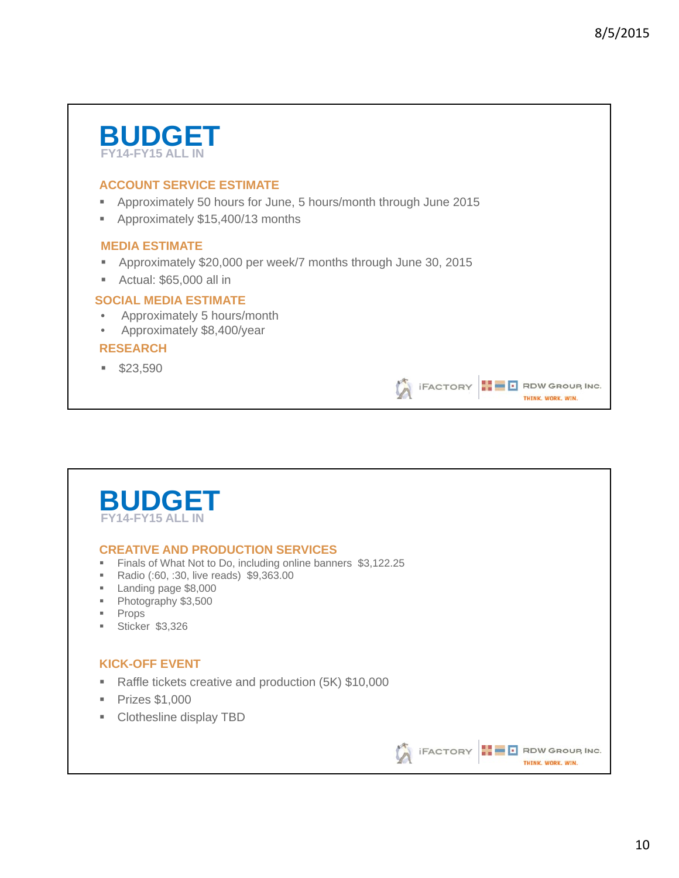This image cannot currently be displayed.

THINK, WORK, WIN.

# **BUDGET FY14-FY15 ALL IN**

## **ACCOUNT SERVICE ESTIMATE**

- Approximately 50 hours for June, 5 hours/month through June 2015
- **Approximately \$15,400/13 months**

### **MEDIA ESTIMATE**

- Approximately \$20,000 per week/7 months through June 30, 2015
- Actual: \$65,000 all in

### **SOCIAL MEDIA ESTIMATE**

- Approximately 5 hours/month
- Approximately \$8,400/year

### **RESEARCH**

 $$23.590$